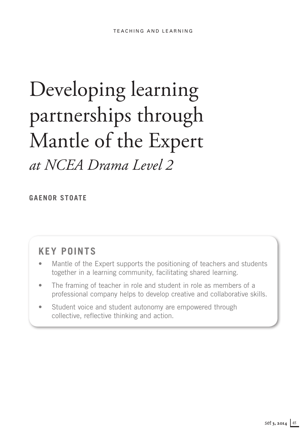# Developing learning partnerships through Mantle of the Expert

*at NCEA Drama Level 2*

**Gaenor Stoate** 

# **Key points**

- Mantle of the Expert supports the positioning of teachers and students together in a learning community, facilitating shared learning.
- The framing of teacher in role and student in role as members of a professional company helps to develop creative and collaborative skills.
- Student voice and student autonomy are empowered through collective, reflective thinking and action.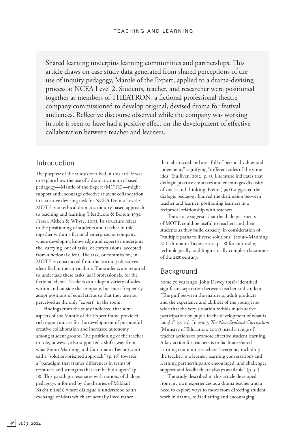Shared learning underpins learning communities and partnerships. This article draws on case study data generated from shared perceptions of the use of inquiry pedagogy, Mantle of the Expert, applied to a drama-devising process at NCEA Level 2. Students, teacher, and researcher were positioned together as members of THEATRON, a fictional professional theatre company commissioned to develop original, devised drama for festival audiences. Reflective discourse observed while the company was working in role is seen to have had a positive effect on the development of effective collaboration between teacher and learners.

### Introduction

The purpose of the study described in this article was to explore how the use of a dramatic inquiry-based pedagogy—Mantle of the Expert (MOTE)—might support and encourage effective student collaboration in a creative devising task for NCEA Drama Level 2. MOTE is an ethical dramatic inquiry-based approach to teaching and learning (Heathcote & Bolton, 1995; Fraser, Aitken & Whyte, 2013). Its structure refers to the positioning of students and teacher in role together within a fictional enterprise, or company, where developing knowledge and expertise underpins the carrying out of tasks, or commissions, accepted from a fictional client. The task, or commission, in MOTE is constructed from the learning objectives identified in the curriculum. The students are required to undertake these tasks, as if professionals, for the fictional client. Teachers can adopt a variety of roles within and outside the company, but most frequently adopt positions of equal status so that they are not perceived as the only "expert" in the room.

Findings from the study indicated that some aspects of the Mantle of the Expert frame provided rich opportunities for the development of purposeful creative collaboration and increased autonomy among student groups. The positioning of the teacher in role, however, also supported a shift away from what Souto-Manning and Cahnmann-Taylor (2010) call a "solution-oriented approach" (p. 16) towards a "paradigm that frames differences in terms of resources and strengths that can be built upon" (p. 18). This paradigm resonates with notions of dialogic pedagogy, informed by the theories of Mikhail Bakhtin (1981) where dialogue is understood as an exchange of ideas which are actually lived rather

than abstracted and are "full of personal values and judgements" signifying "different sides of the same idea" (Sullivan, 2012, p. 3). Literature indicates that dialogic practice embraces and encourages diversity of voices and thinking. Freire (1998) suggested that dialogic pedagogy blurred the distinction between teacher and learner, positioning learners in a reciprocal relationship with teachers.

The article suggests that the dialogic aspects of MOTE could be useful to teachers and their students as they build capacity in consideration of "multiple paths to diverse solutions" (Souto-Manning & Cahnmann-Taylor, 2010, p. 18) for culturally, technologically, and linguistically complex classrooms of the 21st century.

# **Background**

Some 70 years ago, John Dewey (1938) identified significant separation between teacher and student. "The gulf between the mature or adult products and the experience and abilities of the young is so wide that the very situation forbids much active participation by pupils in the development of what is taught" (p. 20). In 2007, *The New Zealand Curriculum* (Ministry of Education, 2007) listed a range of teacher actions to promote effective student learning. A key action for teachers is to facilitate shared learning communities where "everyone, including the teacher, is a learner; learning conversations and learning partnerships are encouraged; and challenge, support and feedback are always available" (p. 34).

The study described in this article developed from my own experiences as a drama teacher and a need to explore ways to move from directing student work in drama, to facilitating and encouraging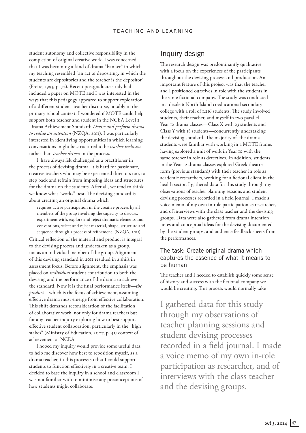student autonomy and collective responsibility in the completion of original creative work. I was concerned that I was becoming a kind of drama "banker" in which my teaching resembled "an act of depositing, in which the students are depositories and the teacher is the depositor" (Freire, 1993, p. 72). Recent postgraduate study had included a paper on MOTE and I was interested in the ways that this pedagogy appeared to support exploration of a different student–teacher discourse, notably in the primary school context. I wondered if MOTE could help support both teacher and student in the NCEA Level 2 Drama Achievement Standard: *Devise and perform drama to realise an intention* (NZQA, 2011). I was particularly interested in identifying opportunities in which learning conversations might be structured to be *teacher inclusive* rather than *teacher driven* in the process.

I have always felt challenged as a practitioner in the process of devising drama. It is hard for passionate, creative teachers who may be experienced directors too, to step back and refrain from imposing ideas and structures for the drama on the students. After all, we tend to think we know what "works" best. The devising standard is about creating an original drama which

requires active participation in the creative process by all members of the group involving the capacity to discuss, experiment with, explore and reject dramatic elements and conventions, select and reject material, shape, structure and sequence through a process of refinement. (NZQA, 2011)

Critical reflection of the material and product is integral to the devising process and undertaken as a group, not as an individual member of the group. Alignment of this devising standard in 2011 resulted in a shift in assessment focus. Before alignment, the emphasis was placed on *individual* student contribution to both the devising and the performance of the drama to achieve the standard. Now it is the final performance itself—*the product*—which is the focus of achievement, assuming effective drama must emerge from effective collaboration. This shift demands reconsideration of the facilitation of collaborative work, not only for drama teachers but for any teacher inquiry exploring how to best support effective student collaboration, particularly in the "high stakes" (Ministry of Education, 2007, p. 41) context of achievement at NCEA.

I hoped my inquiry would provide some useful data to help me discover how best to reposition myself, as a drama teacher, in this process so that I could support students to function effectively in a creative team. I decided to base the inquiry in a school and classroom I was not familiar with to minimise any preconceptions of how students might collaborate.

# Inquiry design

The research design was predominantly qualitative with a focus on the experiences of the participants throughout the devising process and production. An important feature of this project was that the teacher and I positioned ourselves in role with the students in the same fictional company. The study was conducted in a decile 6 North Island coeducational secondary college with a roll of 1,216 students. The study involved students, their teacher, and myself in two parallel Year 12 drama classes—Class X with 23 students and Class Y with 18 students—concurrently undertaking the devising standard. The majority of the drama students were familiar with working in a MOTE frame, having explored a unit of work in Year 10 with the same teacher in role as detectives. In addition, students in the Year 12 drama classes explored Greek theatre form (previous standard) with their teacher in role as academic researchers, working for a fictional client in the health sector. I gathered data for this study through my observations of teacher planning sessions and student devising processes recorded in a field journal. I made a voice memo of my own in-role participation as researcher, and of interviews with the class teacher and the devising groups. Data were also gathered from drama intention notes and conceptual ideas for the devising documented by the student groups, and audience feedback sheets from the performances.

### The task: Create original drama which captures the essence of what it means to be human

The teacher and I needed to establish quickly some sense of history and success with the fictional company we would be creating. This process would normally take

I gathered data for this study through my observations of teacher planning sessions and student devising processes recorded in a field journal. I made a voice memo of my own in-role participation as researcher, and of interviews with the class teacher and the devising groups.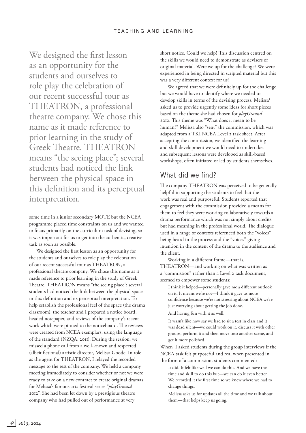We designed the first lesson as an opportunity for the students and ourselves to role play the celebration of our recent successful tour as THEATRON, a professional theatre company. We chose this name as it made reference to prior learning in the study of Greek Theatre. THEATRON means "the seeing place"; several students had noticed the link between the physical space in this definition and its perceptual interpretation.

some time in a junior secondary MOTE but the NCEA programme placed time constraints on us and we wanted to focus primarily on the curriculum task of devising, so it was important for us to get into the authentic, creative task as soon as possible.

We designed the first lesson as an opportunity for the students and ourselves to role play the celebration of our recent successful tour as THEATRON, a professional theatre company. We chose this name as it made reference to prior learning in the study of Greek Theatre. THEATRON means "the seeing place"; several students had noticed the link between the physical space in this definition and its perceptual interpretation. To help establish the professional feel of the space (the drama classroom), the teacher and I prepared a notice board, headed notepaper, and reviews of the company's recent work which were pinned to the noticeboard. The reviews were created from NCEA exemplars, using the language of the standard (NZQA, 2011). During the session, we missed a phone call from a well-known and respected (albeit fictional) artistic director, Melissa Goode. In role as the agent for THEATRON, I relayed the recorded message to the rest of the company. We held a company meeting immediately to consider whether or not we were ready to take on a new contract to create original dramas for Melissa's famous arts festival series "*playGround* 2012". She had been let down by a prestigious theatre company who had pulled out of performance at very

short notice. Could we help? This discussion centred on the skills we would need to demonstrate as devisers of original material. Were we up for the challenge? We were experienced in being directed in scripted material but this was a very different context for us!

We agreed that we were definitely up for the challenge but we would have to identify where we needed to develop skills in terms of the devising process. Melissa<sup>1</sup> asked us to provide urgently some ideas for short pieces based on the theme she had chosen for *playGround*  2012. This theme was "What does it mean to be human?" Melissa also "sent" the commission, which was adapted from a TKI NCEA Level 2 task sheet. After accepting the commission, we identified the learning and skill development we would need to undertake, and subsequent lessons were developed as skill-based workshops, often initiated or led by students themselves.

# What did we find?

The company THEATRON was perceived to be generally helpful in supporting the students to feel that the work was real and purposeful. Students reported that engagement with the commission provided a means for them to feel they were working collaboratively towards a drama performance which was not simply about credits but had meaning in the professional world. The dialogue used in a range of contexts referenced both the "voices" being heard in the process and the "voices" giving intention in the content of the drama to the audience and the client.

Working in a different frame—that is, THEATRON—and working on what was written as a "commission" rather than a Level 2 task document, seemed to empower some students:

I think it helped—personally gave me a different outlook on it. It means we're not—I think it gave us more confidence because we're not stressing about NCEA we're just worrying about getting the job done.

And having fun with it as well.

It wasn't like how say we had to sit a test in class and it was dead silent—we could work on it, discuss it with other groups, perform it and then move into another scene, and get it more polished.

When I asked students during the group interviews if the NCEA task felt purposeful and real when presented in the form of a commission, students commented:

It did. It felt like well we can do this. And we have the time and skill to do this but—we can do it even better. We recorded it the first time so we knew where we had to change things.

Melissa asks us for updates all the time and we talk about them—that helps keep us going.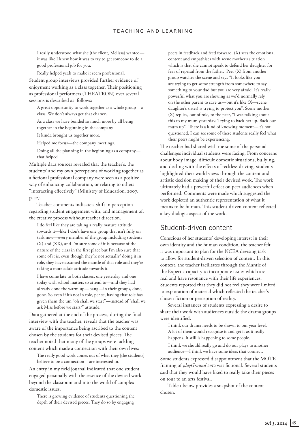I really understood what she (the client, Melissa) wanted it was like I knew how it was to try to get someone to do a good professional job for you.

Really helped yeah to make it seem professional. Student group interviews provided further evidence of enjoyment working as a class together. Their positioning as professional performers (THEATRON) over several sessions is described as follows:

A great opportunity to work together as a whole group—a class. We don't always get that chance.

As a class we have bonded so much more by all being together in the beginning in the company

It kinda brought us together more.

Helped me focus—the company meetings.

Doing all the planning in the beginning as a company that helped

Multiple data sources revealed that the teacher's, the students' and my own perceptions of working together as a fictional professional company were seen as a positive way of enhancing collaboration, or relating to others "interacting effectively" (Ministry of Education, 2007, p. 12).

Teacher comments indicate a shift in perception regarding student engagement with, and management of, the creative process without teacher direction.

I do feel like they are taking a really mature attitude towards it—like I don't have one group that isn't fully on task now—every member of the group including students (X) and (XX), and I'm sure some of it is because of the nature of the class in the first place but I'm also sure that some of it is, even though they're not actually<sup>2</sup> doing it in role, they have assumed the mantle of that role and they're taking a more adult attitude towards it.

I have come late to both classes, one yesterday and one today with school matters to attend to—and they had already done the warm up—bang—in their groups, done, gone. So even if it's not in role, per se, having that role has given them the um "oh shall we start"—instead of "shall we ask Miss before we start?" attitude.

Data gathered at the end of the process, during the final interview with the teacher, reveals that the teacher was aware of the importance being ascribed to the content chosen by the students for their devised pieces. The teacher noted that many of the groups were tackling content which made a connection with their own lives:

The really good work comes out of what they [the students] believe to be a connection—are interested in.

An entry in my field journal indicated that one student engaged personally with the essence of the devised work beyond the classroom and into the world of complex domestic issues.

There is growing evidence of students questioning the depth of their devised pieces. They do so by engaging

peers in feedback and feed forward. (X) sees the emotional content and empathises with scene mother's situation which is that she cannot speak to defend her daughter for fear of reprisal from the father. Peer (X) from another group watches the scene and says "It looks like you are trying to get some strength from somewhere to say something to your dad but you are very afraid. It's really powerful what you are showing as we'd normally rely on the other parent to save us—but it's like (X—scene daughter's sister) is trying to protect you". Scene mother (X) replies, out of role, to the peer, "I was talking about this to my mum yesterday. Trying to back her up. Back our mum up". There is a kind of knowing moment—it's not questioned. I can see some of these students really feel what their peers might be experiencing.

The teacher had shared with me some of the personal challenges individual students were facing. From concerns about body image, difficult domestic situations, bullying, and dealing with the effects of reckless driving, students highlighted their world views through the content and artistic decision making of their devised work. The work ultimately had a powerful effect on peer audiences when performed. Comments were made which suggested the work depicted an authentic representation of what it means to be human. This student-driven content reflected a key dialogic aspect of the work.

## Student-driven content

Conscious of her students' developing interest in their own identity and the human condition, the teacher felt it was important to plan for the NCEA devising task to allow for student-driven selection of content. In this context, the teacher facilitates through the Mantle of the Expert a capacity to incorporate issues which are real and have resonance with their life experiences. Students reported that they did not feel they were limited to exploration of material which reflected the teacher's chosen fiction or perception of reality.

Several instances of students expressing a desire to share their work with audiences outside the drama groups were identified.

I think our drama needs to be shown to our year level. A lot of them would recognise it and get it as it really happens. It still is happening to some people.

I think we should really go and do our plays to another audience—I think we have some ideas that connect.

Some students expressed disappointment that the MOTE framing of *playGround 2012* was fictional. Several students said that they would have liked to really take their pieces on tour to an arts festival.

Table 1 below provides a snapshot of the content chosen.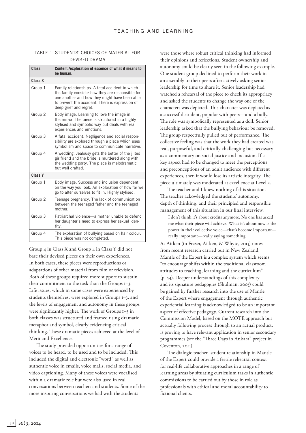|  |  |               |  | TABLE 1. STUDENTS' CHOICES OF MATERIAL FOR |  |
|--|--|---------------|--|--------------------------------------------|--|
|  |  | DEVISED DRAMA |  |                                            |  |

| Class              | Content / exploration of essence of what it means to<br>be human.                                                                                                                                                                 |  |  |  |  |
|--------------------|-----------------------------------------------------------------------------------------------------------------------------------------------------------------------------------------------------------------------------------|--|--|--|--|
| Class X            |                                                                                                                                                                                                                                   |  |  |  |  |
| Group 1            | Family relationships. A fatal accident in which<br>the family consider how they are responsible for<br>one another and how they might have been able<br>to prevent the accident. There is expression of<br>deep grief and regret. |  |  |  |  |
| Group <sub>2</sub> | Body image. Learning to love the image in<br>the mirror. The piece is structured in a highly<br>stylised and symbolic way but deals with real<br>experiences and emotions.                                                        |  |  |  |  |
| Group 3            | A fatal accident. Negligence and social respon-<br>sibility are explored through a piece which uses<br>symbolism and space to communicate narrative.                                                                              |  |  |  |  |
| Group 4            | A wedding. Jealousy gets the better of the jilted<br>girlfriend and the bride is murdered along with<br>the wedding party. The piece is melodramatic<br>but well crafted.                                                         |  |  |  |  |
| Class Y            |                                                                                                                                                                                                                                   |  |  |  |  |
| Group 1            | Body image. Success and inclusion dependent<br>on the way you look. An exploration of how far we<br>go to alter ourselves to fit in. Highly stylised.                                                                             |  |  |  |  |
| Group <sub>2</sub> | Teenage pregnancy. The lack of communication<br>between the teenaged father and the teenaged<br>mother.                                                                                                                           |  |  |  |  |
| Group 3            | Patriarchal violence—a mother unable to defend<br>her daughter's need to express her sexual iden-<br>tity.                                                                                                                        |  |  |  |  |
| Group 4            | The exploration of bullying based on hair colour.<br>This piece was not completed.                                                                                                                                                |  |  |  |  |

Group 4 in Class X and Group 4 in Class Y did not base their devised pieces on their own experiences. In both cases, these pieces were reproductions or adaptations of other material from film or television. Both of these groups required more support to sustain their commitment to the task than the Groups 1–3. Life issues, which in some cases were experienced by students themselves, were explored in Groups 1–3, and the levels of engagement and autonomy in these groups were significantly higher. The work of Groups 1–3 in both classes was structured and framed using dramatic metaphor and symbol, clearly evidencing critical thinking. These dramatic pieces achieved at the level of Merit and Excellence.

The study provided opportunities for a range of voices to be heard, to be used and to be included. This included the digital and electronic "word" as well as authentic voice in emails, voice mails, social media, and video captioning. Many of these voices were vocalised within a dramatic role but were also used in real conversations between teachers and students. Some of the more inspiring conversations we had with the students

were those where robust critical thinking had informed their opinions and reflections. Student ownership and autonomy could be clearly seen in the following example. One student group declined to perform their work in an assembly to their peers after actively asking senior leadership for time to share it. Senior leadership had watched a rehearsal of the piece to check its appropriacy and asked the students to change the way one of the characters was depicted. This character was depicted as a successful student, popular with peers—and a bully. The role was symbolically represented as a doll. Senior leadership asked that the bullying behaviour be removed. The group respectfully pulled out of performance. The collective feeling was that the work they had created was real, purposeful, and critically challenging but necessary as a commentary on social justice and inclusion. If a key aspect had to be changed to meet the perceptions and preconceptions of an adult audience with different experiences, then it would lose its artistic integrity. The piece ultimately was moderated at excellence at Level 2.

The teacher and I knew nothing of this situation. The teacher ackowledged the students' autonomy, depth of thinking, and their principled and responsible management of this situation in our final interview.

I don't think it's about credits anymore. No one has asked me what their piece will achieve. What it's about now is the power in their collective voice—that's become important really important—really saying something.

As Aitken (in Fraser, Aitken, & Whyte, 2013) notes from recent research carried out in New Zealand, Mantle of the Expert is a complex system which seems "to encourage shifts within the traditional classroom attitudes to teaching, learning and the curriculum" (p. 54). Deeper understandings of this complexity and its signature pedagogies (Shulman, 2005) could be gained by further research into the use of Mantle of the Expert where engagement through authentic experiential learning is acknowledged to be an important aspect of effective pedagogy. Current research into the Commission Model, based on the MOTE approach but actually following process through to an actual product, is proving to have relevant application in senior secondary programmes (see the "Three Days in Ankara" project in Coventon, 2011).

The dialogic teacher–student relationship in Mantle of the Expert could provide a fertile rehearsal context for real-life collaborative approaches in a range of learning areas by situating curriculum tasks in authentic commissions to be carried out by those in role as professionals with ethical and moral accountability to fictional clients.